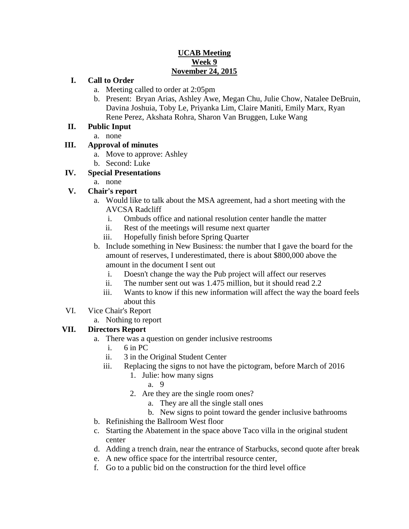#### **UCAB Meeting Week 9 November 24, 2015**

#### **I. Call to Order**

- a. Meeting called to order at 2:05pm
- b. Present: Bryan Arias, Ashley Awe, Megan Chu, Julie Chow, Natalee DeBruin, Davina Joshuia, Toby Le, Priyanka Lim, Claire Maniti, Emily Marx, Ryan Rene Perez, Akshata Rohra, Sharon Van Bruggen, Luke Wang

#### **II. Public Input**

a. none

#### **III. Approval of minutes**

- a. Move to approve: Ashley
- b. Second: Luke

#### **IV. Special Presentations**

a. none

### **V. Chair's report**

- a. Would like to talk about the MSA agreement, had a short meeting with the AVCSA Radcliff
	- i. Ombuds office and national resolution center handle the matter
	- ii. Rest of the meetings will resume next quarter
	- iii. Hopefully finish before Spring Quarter
- b. Include something in New Business: the number that I gave the board for the amount of reserves, I underestimated, there is about \$800,000 above the amount in the document I sent out
	- i. Doesn't change the way the Pub project will affect our reserves
	- ii. The number sent out was 1.475 million, but it should read 2.2
	- iii. Wants to know if this new information will affect the way the board feels about this
- VI. Vice Chair's Report
	- a. Nothing to report

#### **VII. Directors Report**

- a. There was a question on gender inclusive restrooms
	- i. 6 in PC
	- ii. 3 in the Original Student Center
	- iii. Replacing the signs to not have the pictogram, before March of 2016
		- 1. Julie: how many signs
			- a. 9
		- 2. Are they are the single room ones?
			- a. They are all the single stall ones
			- b. New signs to point toward the gender inclusive bathrooms
- b. Refinishing the Ballroom West floor
- c. Starting the Abatement in the space above Taco villa in the original student center
- d. Adding a trench drain, near the entrance of Starbucks, second quote after break
- e. A new office space for the intertribal resource center,
- f. Go to a public bid on the construction for the third level office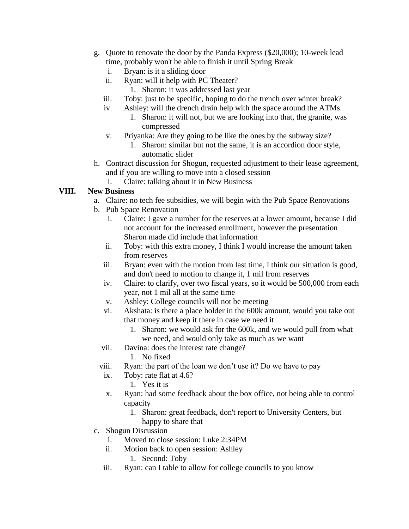- g. Quote to renovate the door by the Panda Express (\$20,000); 10-week lead time, probably won't be able to finish it until Spring Break
	- i. Bryan: is it a sliding door
	- ii. Ryan: will it help with PC Theater?
		- 1. Sharon: it was addressed last year
	- iii. Toby: just to be specific, hoping to do the trench over winter break?
	- iv. Ashley: will the drench drain help with the space around the ATMs 1. Sharon: it will not, but we are looking into that, the granite, was compressed
	- v. Priyanka: Are they going to be like the ones by the subway size?
		- 1. Sharon: similar but not the same, it is an accordion door style, automatic slider
- h. Contract discussion for Shogun, requested adjustment to their lease agreement, and if you are willing to move into a closed session
	- i. Claire: talking about it in New Business

### **VIII. New Business**

- a. Claire: no tech fee subsidies, we will begin with the Pub Space Renovations
- b. Pub Space Renovation
	- i. Claire: I gave a number for the reserves at a lower amount, because I did not account for the increased enrollment, however the presentation Sharon made did include that information
	- ii. Toby: with this extra money, I think I would increase the amount taken from reserves
	- iii. Bryan: even with the motion from last time, I think our situation is good, and don't need to motion to change it, 1 mil from reserves
	- iv. Claire: to clarify, over two fiscal years, so it would be 500,000 from each year, not 1 mil all at the same time
	- v. Ashley: College councils will not be meeting
	- vi. Akshata: is there a place holder in the 600k amount, would you take out that money and keep it there in case we need it
		- 1. Sharon: we would ask for the 600k, and we would pull from what we need, and would only take as much as we want
	- vii. Davina: does the interest rate change?
		- 1. No fixed
	- viii. Ryan: the part of the loan we don't use it? Do we have to pay
	- ix. Toby: rate flat at 4.6?
		- 1. Yes it is
	- x. Ryan: had some feedback about the box office, not being able to control capacity
		- 1. Sharon: great feedback, don't report to University Centers, but happy to share that
- c. Shogun Discussion
	- i. Moved to close session: Luke 2:34PM
	- ii. Motion back to open session: Ashley
		- 1. Second: Toby
	- iii. Ryan: can I table to allow for college councils to you know